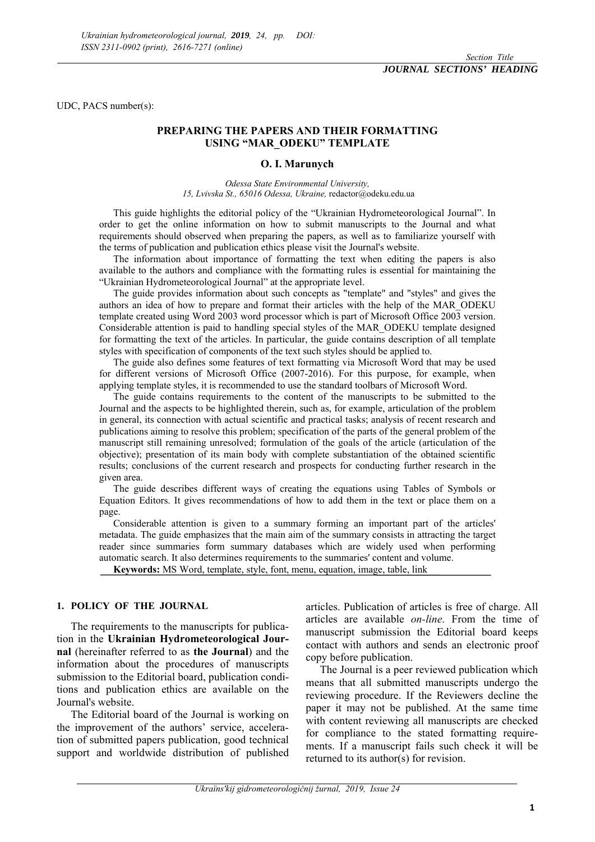UDC, PACS number(s):

#### **PREPARING THE PAPERS AND THEIR FORMATTING USING "MAR\_ODEKU" TEMPLATE**

#### **O. I. Marunych**

*Odessa State Environmental University, 15, Lvivska St., 65016 Odessa, Ukraine,* redactor@odeku.edu.ua

This guide highlights the editorial policy of the "Ukrainian Hydrometeorological Journal". In order to get the online information on how to submit manuscripts to the Journal and what requirements should observed when preparing the papers, as well as to familiarize yourself with the terms of publication and publication ethics please visit the Journal's website.

The information about importance of formatting the text when editing the papers is also available to the authors and compliance with the formatting rules is essential for maintaining the "Ukrainian Hydrometeorological Journal" at the appropriate level.

The guide provides information about such concepts as "template" and "styles" and gives the authors an idea of how to prepare and format their articles with the help of the MAR\_ODEKU template created using Word 2003 word processor which is part of Microsoft Office 2003 version. Considerable attention is paid to handling special styles of the MAR\_ODEKU template designed for formatting the text of the articles. In particular, the guide contains description of all template styles with specification of components of the text such styles should be applied to.

The guide also defines some features of text formatting via Microsoft Word that may be used for different versions of Microsoft Office (2007-2016). For this purpose, for example, when applying template styles, it is recommended to use the standard toolbars of Microsoft Word.

The guide contains requirements to the content of the manuscripts to be submitted to the Journal and the aspects to be highlighted therein, such as, for example, articulation of the problem in general, its connection with actual scientific and practical tasks; analysis of recent research and publications aiming to resolve this problem; specification of the parts of the general problem of the manuscript still remaining unresolved; formulation of the goals of the article (articulation of the objective); presentation of its main body with complete substantiation of the obtained scientific results; conclusions of the current research and prospects for conducting further research in the given area.

The guide describes different ways of creating the equations using Tables of Symbols or Equation Editors. It gives recommendations of how to add them in the text or place them on a page.

Considerable attention is given to a summary forming an important part of the articles' metadata. The guide emphasizes that the main aim of the summary consists in attracting the target reader since summaries form summary databases which are widely used when performing automatic search. It also determines requirements to the summaries' content and volume.

**Keywords:** MS Word, template, style, font, menu, equation, image, table, link

#### **1. POLICY OF THE JOURNAL**

The requirements to the manuscripts for publication in the **Ukrainian Hydrometeorological Journal** (hereinafter referred to as **the Journal**) and the information about the procedures of manuscripts submission to the Editorial board, publication conditions and publication ethics are available on the Journal's website.

The Editorial board of the Journal is working on the improvement of the authors' service, acceleration of submitted papers publication, good technical support and worldwide distribution of published

articles. Publication of articles is free of charge. All articles are available *on-line*. From the time of manuscript submission the Editorial board keeps contact with authors and sends an electronic proof copy before publication.

The Journal is a peer reviewed publication which means that all submitted manuscripts undergo the reviewing procedure. If the Reviewers decline the paper it may not be published. At the same time with content reviewing all manuscripts are checked for compliance to the stated formatting requirements. If a manuscript fails such check it will be returned to its author(s) for revision.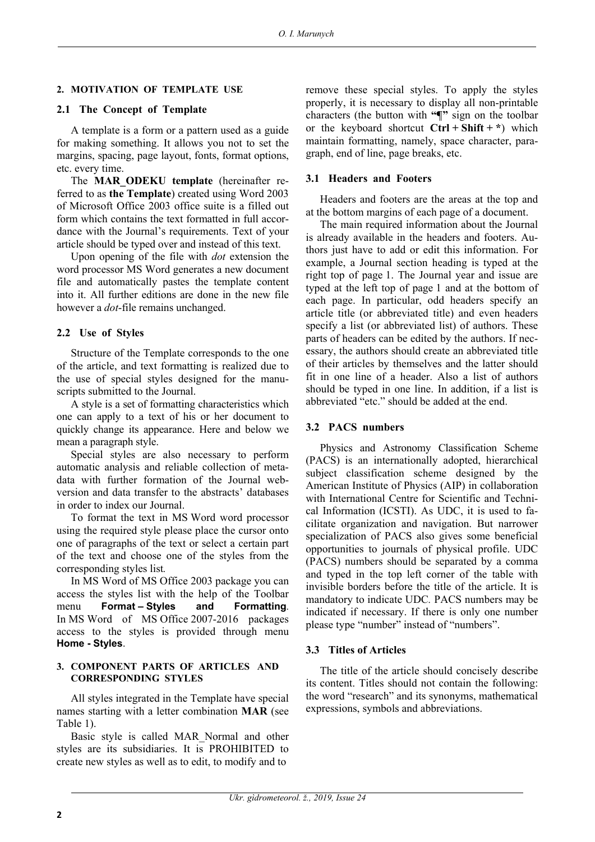#### **2. MOTIVATION OF TEMPLATE USE**

#### **2.1 The Concept of Template**

A template is a form or a pattern used as a guide for making something. It allows you not to set the margins, spacing, page layout, fonts, format options, etc. every time.

The **MAR\_ODEKU template** (hereinafter referred to as **the Template**) created using Word 2003 of Microsoft Office 2003 office suite is a filled out form which contains the text formatted in full accordance with the Journal's requirements. Text of your article should be typed over and instead of this text.

Upon opening of the file with *dot* extension the word processor MS Word generates a new document file and automatically pastes the template content into it. All further editions are done in the new file however a *dot*-file remains unchanged.

#### **2.2 Use of Styles**

Structure of the Template corresponds to the one of the article, and text formatting is realized due to the use of special styles designed for the manuscripts submitted to the Journal.

A style is a set of formatting characteristics which one can apply to a text of his or her document to quickly change its appearance. Here and below we mean a paragraph style.

Special styles are also necessary to perform automatic analysis and reliable collection of metadata with further formation of the Journal webversion and data transfer to the abstracts' databases in order to index our Journal.

To format the text in MS Word word processor using the required style please place the cursor onto one of paragraphs of the text or select a certain part of the text and choose one of the styles from the corresponding styles list**.**

In MS Word of MS Office 2003 package you can access the styles list with the help of the Toolbar menu **Format – Styles and Formatting**. In MS Word of MS Office 2007-2016 packages access to the styles is provided through menu **Home - Styles**.

#### **3. COMPONENT PARTS OF ARTICLES AND CORRESPONDING STYLES**

All styles integrated in the Template have special names starting with a letter combination **MAR** (see Table 1).

Basic style is called MAR\_Normal and other styles are its subsidiaries. It is PROHIBITED to create new styles as well as to edit, to modify and to

remove these special styles. To apply the styles properly, it is necessary to display all non-printable characters (the button with **"¶"** sign on the toolbar or the keyboard shortcut **Ctrl + Shift + \***) which maintain formatting, namely, space character, paragraph, end of line, page breaks, etc.

#### **3.1 Headers and Footers**

Headers and footers are the areas at the top and at the bottom margins of each page of a document.

The main required information about the Journal is already available in the headers and footers. Authors just have to add or edit this information. For example, a Journal section heading is typed at the right top of page 1. The Journal year and issue are typed at the left top of page 1 and at the bottom of each page. In particular, odd headers specify an article title (or abbreviated title) and even headers specify a list (or abbreviated list) of authors. These parts of headers can be edited by the authors. If necessary, the authors should create an abbreviated title of their articles by themselves and the latter should fit in one line of a header. Also a list of authors should be typed in one line. In addition, if a list is abbreviated "etc." should be added at the end.

#### **3.2 РАСS numbers**

Physics and Astronomy Classification Scheme (РАСS) is an internationally adopted, hierarchical subject classification scheme designed by the American Institute of Physics (AIP) in collaboration with International Centre for Scientific and Technical Information (ICSTI). As UDC, it is used to facilitate organization and navigation. But narrower specialization of PACS also gives some beneficial opportunities to journals of physical profile. UDC (PACS) numbers should be separated by a comma and typed in the top left corner of the table with invisible borders before the title of the article. It is mandatory to indicate UDC*.* PACS numbers may be indicated if necessary. If there is only one number please type "number" instead of "numbers".

#### **3.3 Titles of Articles**

The title of the article should concisely describe its content. Titles should not contain the following: the word "research" and its synonyms, mathematical expressions, symbols and abbreviations.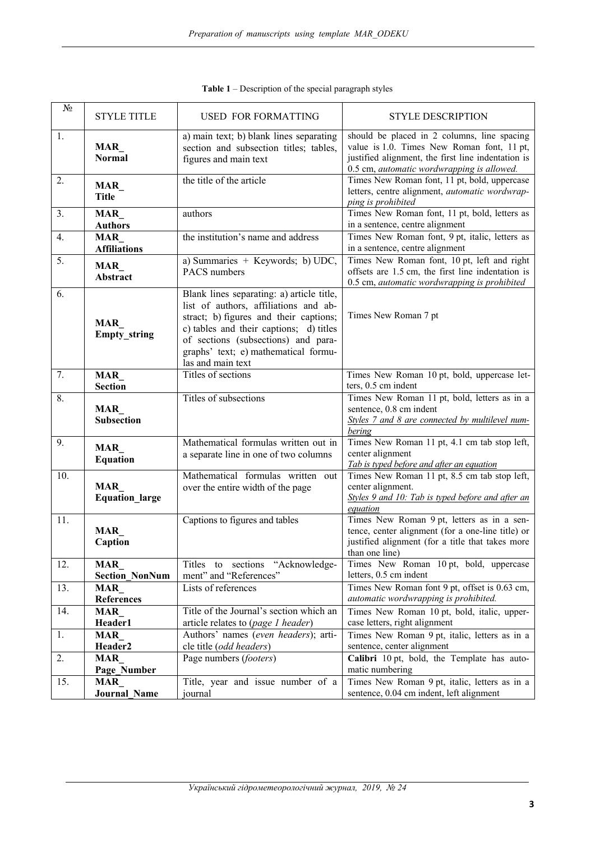| $N_2$ | <b>STYLE TITLE</b>                  | <b>USED FOR FORMATTING</b>                                                                                                                                                                                                                                                  | <b>STYLE DESCRIPTION</b>                                                                                                                                                                      |
|-------|-------------------------------------|-----------------------------------------------------------------------------------------------------------------------------------------------------------------------------------------------------------------------------------------------------------------------------|-----------------------------------------------------------------------------------------------------------------------------------------------------------------------------------------------|
| 1.    | MAR<br><b>Normal</b>                | a) main text; b) blank lines separating<br>section and subsection titles; tables,<br>figures and main text                                                                                                                                                                  | should be placed in 2 columns, line spacing<br>value is 1.0. Times New Roman font, 11 pt,<br>justified alignment, the first line indentation is<br>0.5 cm, automatic wordwrapping is allowed. |
| 2.    | MAR_<br><b>Title</b>                | the title of the article                                                                                                                                                                                                                                                    | Times New Roman font, 11 pt, bold, uppercase<br>letters, centre alignment, automatic wordwrap-<br>ping is prohibited                                                                          |
| 3.    | MAR<br><b>Authors</b>               | authors                                                                                                                                                                                                                                                                     | Times New Roman font, 11 pt, bold, letters as<br>in a sentence, centre alignment                                                                                                              |
| 4.    | <b>MAR</b><br><b>Affiliations</b>   | the institution's name and address                                                                                                                                                                                                                                          | Times New Roman font, 9 pt, italic, letters as<br>in a sentence, centre alignment                                                                                                             |
| 5.    | MAR<br>Abstract                     | a) Summaries + Keywords; b) $\overline{UDC}$ ,<br>PACS numbers                                                                                                                                                                                                              | Times New Roman font, 10 pt, left and right<br>offsets are 1.5 cm, the first line indentation is<br>0.5 cm, automatic wordwrapping is prohibited                                              |
| 6.    | <b>MAR</b><br>Empty_string          | Blank lines separating: a) article title,<br>list of authors, affiliations and ab-<br>stract; b) figures and their captions;<br>c) tables and their captions; d) titles<br>of sections (subsections) and para-<br>graphs' text; e) mathematical formu-<br>las and main text | Times New Roman 7 pt                                                                                                                                                                          |
| 7.    | <b>MAR</b><br><b>Section</b>        | Titles of sections                                                                                                                                                                                                                                                          | Times New Roman 10 pt, bold, uppercase let-<br>ters, 0.5 cm indent                                                                                                                            |
| 8.    | MAR<br><b>Subsection</b>            | Titles of subsections                                                                                                                                                                                                                                                       | Times New Roman 11 pt, bold, letters as in a<br>sentence, 0.8 cm indent<br>Styles 7 and 8 are connected by multilevel num-<br>bering                                                          |
| 9.    | MAR<br><b>Equation</b>              | Mathematical formulas written out in<br>a separate line in one of two columns                                                                                                                                                                                               | Times New Roman 11 pt, 4.1 cm tab stop left,<br>center alignment<br>Tab is typed before and after an equation                                                                                 |
| 10.   | <b>MAR</b><br><b>Equation large</b> | Mathematical formulas written out<br>over the entire width of the page                                                                                                                                                                                                      | Times New Roman 11 pt, 8.5 cm tab stop left,<br>center alignment.<br>Styles 9 and 10: Tab is typed before and after an<br>equation                                                            |
| 11.   | MAR_<br>Caption                     | Captions to figures and tables                                                                                                                                                                                                                                              | Times New Roman 9 pt, letters as in a sen-<br>tence, center alignment (for a one-line title) or<br>justified alignment (for a title that takes more<br>than one line)                         |
| 12.   | MAR<br><b>Section_NonNum</b>        | Titles to sections "Acknowledge-<br>ment" and "References"                                                                                                                                                                                                                  | Times New Roman 10 pt, bold, uppercase<br>letters, 0.5 cm indent                                                                                                                              |
| 13.   | MAR<br>References                   | Lists of references                                                                                                                                                                                                                                                         | Times New Roman font 9 pt, offset is 0.63 cm,<br>automatic wordwrapping is prohibited.                                                                                                        |
| 14.   | MAR<br>Header1                      | Title of the Journal's section which an<br>article relates to (page 1 header)                                                                                                                                                                                               | Times New Roman 10 pt, bold, italic, upper-<br>case letters, right alignment                                                                                                                  |
| 1.    | <b>MAR</b><br>Header <sub>2</sub>   | Authors' names (even headers); arti-<br>cle title (odd headers)                                                                                                                                                                                                             | Times New Roman 9 pt, italic, letters as in a<br>sentence, center alignment                                                                                                                   |
| 2.    | MAR<br>Page_Number                  | Page numbers (footers)                                                                                                                                                                                                                                                      | Calibri 10 pt, bold, the Template has auto-<br>matic numbering                                                                                                                                |
| 15.   | MAR<br><b>Journal Name</b>          | Title, year and issue number of a<br>journal                                                                                                                                                                                                                                | Times New Roman 9 pt, italic, letters as in a<br>sentence, 0.04 cm indent, left alignment                                                                                                     |

|  |  | <b>Table 1</b> – Description of the special paragraph styles |
|--|--|--------------------------------------------------------------|
|  |  |                                                              |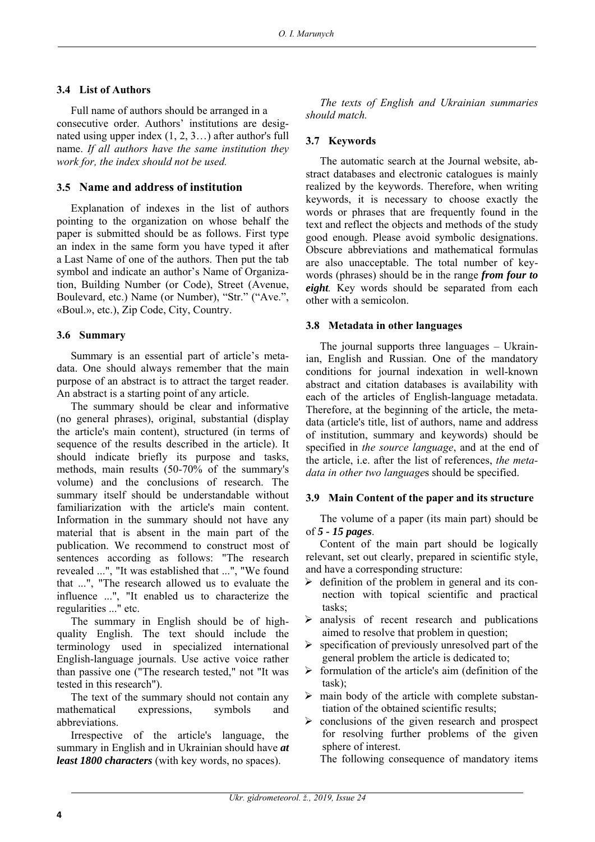## **3.4 List of Authors**

Full name of authors should be arranged in a consecutive order. Authors' institutions are designated using upper index (1, 2, 3…) after author's full name. *If all authors have the same institution they work for, the index should not be used.*

# **3.5 Name and address of institution**

Explanation of indexes in the list of authors pointing to the organization on whose behalf the paper is submitted should be as follows. First type an index in the same form you have typed it after a Last Name of one of the authors. Then put the tab symbol and indicate an author's Name of Organization, Building Number (or Code), Street (Avenue, Boulevard, etc.) Name (or Number), "Str." ("Ave.", «Boul.», etc.), Zip Code, City, Country.

# **3.6 Summary**

Summary is an essential part of article's metadata. One should always remember that the main purpose of an abstract is to attract the target reader. An abstract is a starting point of any article.

The summary should be clear and informative (no general phrases), original, substantial (display the article's main content), structured (in terms of sequence of the results described in the article). It should indicate briefly its purpose and tasks, methods, main results (50-70% of the summary's volume) and the conclusions of research. The summary itself should be understandable without familiarization with the article's main content. Information in the summary should not have any material that is absent in the main part of the publication. We recommend to construct most of sentences according as follows: "The research revealed ...", "It was established that ...", "We found that ...", "The research allowed us to evaluate the influence ...", "It enabled us to characterize the regularities ..." etc.

The summary in English should be of highquality English. The text should include the terminology used in specialized international English-language journals. Use active voice rather than passive one ("The research tested," not "It was tested in this research").

The text of the summary should not contain any mathematical expressions, symbols and abbreviations.

Irrespective of the article's language, the summary in English and in Ukrainian should have *at least 1800 characters* (with key words, no spaces).

*The texts of English and Ukrainian summaries should match.* 

## **3.7 Keywords**

The automatic search at the Journal website, abstract databases and electronic catalogues is mainly realized by the keywords. Therefore, when writing keywords, it is necessary to choose exactly the words or phrases that are frequently found in the text and reflect the objects and methods of the study good enough. Please avoid symbolic designations. Obscure abbreviations and mathematical formulas are also unacceptable. The total number of keywords (phrases) should be in the range *from four to eight.* Key words should be separated from each other with a semicolon.

# **3.8 Metadata in other languages**

The journal supports three languages – Ukrainian, English and Russian. One of the mandatory conditions for journal indexation in well-known abstract and citation databases is availability with each of the articles of English-language metadata. Therefore, at the beginning of the article, the metadata (article's title, list of authors, name and address of institution, summary and keywords) should be specified in *the source language*, and at the end of the article, i.e. after the list of references, *the metadata in other two language*s should be specified.

## **3.9 Main Content of the paper and its structure**

The volume of a paper (its main part) should be of *5 - 15 pages*.

Content of the main part should be logically relevant, set out clearly, prepared in scientific style, and have a corresponding structure:

- $\triangleright$  definition of the problem in general and its connection with topical scientific and practical tasks;
- $\triangleright$  analysis of recent research and publications aimed to resolve that problem in question;
- specification of previously unresolved part of the general problem the article is dedicated to;
- $\triangleright$  formulation of the article's aim (definition of the task);
- $\triangleright$  main body of the article with complete substantiation of the obtained scientific results;
- $\triangleright$  conclusions of the given research and prospect for resolving further problems of the given sphere of interest.

The following consequence of mandatory items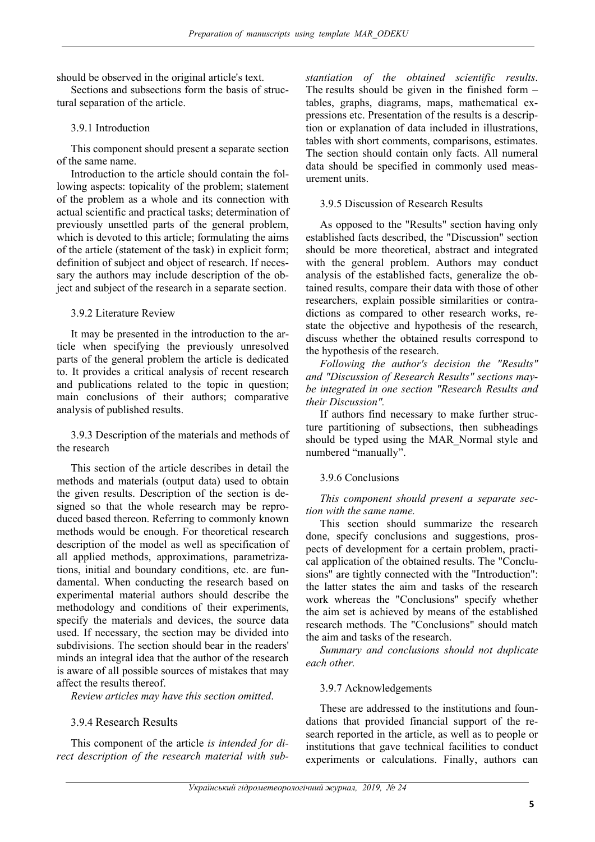should be observed in the original article's text.

Sections and subsections form the basis of structural separation of the article.

## 3.9.1 Introduction

This component should present a separate section of the same name.

Introduction to the article should contain the following aspects: topicality of the problem; statement of the problem as a whole and its connection with actual scientific and practical tasks; determination of previously unsettled parts of the general problem, which is devoted to this article; formulating the aims of the article (statement of the task) in explicit form; definition of subject and object of research. If necessary the authors may include description of the object and subject of the research in a separate section.

3.9.2 Literature Review

It may be presented in the introduction to the article when specifying the previously unresolved parts of the general problem the article is dedicated to. It provides a critical analysis of recent research and publications related to the topic in question; main conclusions of their authors; comparative analysis of published results.

3.9.3 Description of the materials and methods of the research

This section of the article describes in detail the methods and materials (output data) used to obtain the given results. Description of the section is designed so that the whole research may be reproduced based thereon. Referring to commonly known methods would be enough. For theoretical research description of the model as well as specification of all applied methods, approximations, parametrizations, initial and boundary conditions, etc. are fundamental. When conducting the research based on experimental material authors should describe the methodology and conditions of their experiments, specify the materials and devices, the source data used. If necessary, the section may be divided into subdivisions. The section should bear in the readers' minds an integral idea that the author of the research is aware of all possible sources of mistakes that may affect the results thereof.

*Review articles may have this section omitted*.

## 3.9.4 Research Results

This component of the article *is intended for direct description of the research material with sub-* *stantiation of the obtained scientific results*. The results should be given in the finished form – tables, graphs, diagrams, maps, mathematical expressions etc. Presentation of the results is a description or explanation of data included in illustrations, tables with short comments, comparisons, estimates. The section should contain only facts. All numeral data should be specified in commonly used measurement units.

#### 3.9.5 Discussion of Research Results

As opposed to the "Results" section having only established facts described, the "Discussion" section should be more theoretical, abstract and integrated with the general problem. Authors may conduct analysis of the established facts, generalize the obtained results, compare their data with those of other researchers, explain possible similarities or contradictions as compared to other research works, restate the objective and hypothesis of the research, discuss whether the obtained results correspond to the hypothesis of the research.

*Following the author's decision the "Results" and "Discussion of Research Results" sections maybe integrated in one section "Research Results and their Discussion".* 

If authors find necessary to make further structure partitioning of subsections, then subheadings should be typed using the MAR\_Normal style and numbered "manually".

## 3.9.6 Conclusions

*This component should present a separate section with the same name.* 

This section should summarize the research done, specify conclusions and suggestions, prospects of development for a certain problem, practical application of the obtained results. The "Conclusions" are tightly connected with the "Introduction": the latter states the aim and tasks of the research work whereas the "Conclusions" specify whether the aim set is achieved by means of the established research methods. The "Conclusions" should match the aim and tasks of the research.

*Summary and conclusions should not duplicate each other.* 

## 3.9.7 Acknowledgements

These are addressed to the institutions and foundations that provided financial support of the research reported in the article, as well as to people or institutions that gave technical facilities to conduct experiments or calculations. Finally, authors can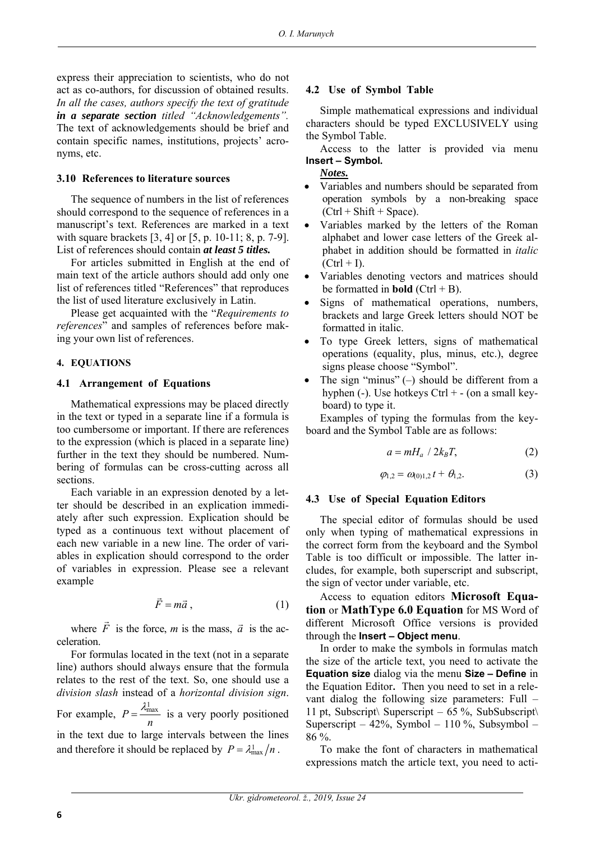express their appreciation to scientists, who do not act as co-authors, for discussion of obtained results. *In all the cases, authors specify the text of gratitude in a separate section titled "Acknowledgements".* The text of acknowledgements should be brief and contain specific names, institutions, projects' acronyms, etc.

#### **3.10 References to literature sources**

The sequence of numbers in the list of references should correspond to the sequence of references in a manuscript's text. References are marked in a text with square brackets [3, 4] or [5, p. 10-11; 8, p. 7-9]. List of references should contain *at least 5 titles.*

For articles submitted in English at the end of main text of the article authors should add only one list of references titled "References" that reproduces the list of used literature exclusively in Latin.

Please get acquainted with the "*Requirements to references*" and samples of references before making your own list of references.

#### **4. EQUATIONS**

#### **4.1 Arrangement of Equations**

Mathematical expressions may be placed directly in the text or typed in a separate line if a formula is too cumbersome or important. If there are references to the expression (which is placed in a separate line) further in the text they should be numbered. Numbering of formulas can be cross-cutting across all sections.

Each variable in an expression denoted by a letter should be described in an explication immediately after such expression. Explication should be typed as a continuous text without placement of each new variable in a new line. The order of variables in explication should correspond to the order of variables in expression. Please see a relevant example

$$
\vec{F} = m\vec{a},\qquad(1)
$$

where *F*  $\rightarrow$ is the force, *m* is the mass,  $\vec{a}$  is the acceleration.

For formulas located in the text (not in a separate line) authors should always ensure that the formula relates to the rest of the text. So, one should use a *division slash* instead of a *horizontal division sign*.

For example,  $P = \frac{\lambda_{\text{max}}^1}{2\lambda_{\text{max}}}$ *n*  $=\frac{\lambda_{\text{max}}^1}{\lambda_{\text{max}}}$  is a very poorly positioned in the text due to large intervals between the lines and therefore it should be replaced by  $P = \lambda_{\text{max}}^1/n$ .

#### **4.2 Use of Symbol Table**

Simple mathematical expressions and individual characters should be typed EXCLUSIVELY using the Symbol Table.

Access to the latter is provided via menu **Insert – Symbol.** 

#### *Notes.*

- Variables and numbers should be separated from operation symbols by a non-breaking space  $(Ctrl + Shift + Space).$
- Variables marked by the letters of the Roman alphabet and lower case letters of the Greek alphabet in addition should be formatted in *italic*  $(Ctrl + I)$ .
- Variables denoting vectors and matrices should be formatted in **bold** (Ctrl + B).
- Signs of mathematical operations, numbers, brackets and large Greek letters should NOT be formatted in italic.
- To type Greek letters, signs of mathematical operations (equality, plus, minus, etc.), degree signs please choose "Symbol".
- The sign "minus" (–) should be different from a hyphen (-). Use hotkeys Ctrl + - (on a small keyboard) to type it.

Examples of typing the formulas from the keyboard and the Symbol Table are as follows:

$$
a = mH_a / 2k_B T, \qquad (2)
$$

$$
\varphi_{1,2} = \omega_{0,1,2} t + \theta_{1,2}.
$$
 (3)

## **4.3 Use of Special Equation Editors**

The special editor of formulas should be used only when typing of mathematical expressions in the correct form from the keyboard and the Symbol Table is too difficult or impossible. The latter includes, for example, both superscript and subscript, the sign of vector under variable, etc.

Access to equation editors **Microsoft Equation** or **MathType 6.0 Equation** for MS Word of different Microsoft Office versions is provided through the **Insert – Object menu**.

In order to make the symbols in formulas match the size of the article text, you need to activate the **Equation size** dialog via the menu **Size – Define** in the Equation Editor**.** Then you need to set in a relevant dialog the following size parameters: Full – 11 pt, Subscript\ Superscript – 65 %, SubSubscript\ Superscript –  $42\%$ , Symbol –  $110\%$ , Subsymbol – 86 %.

To make the font of characters in mathematical expressions match the article text, you need to acti-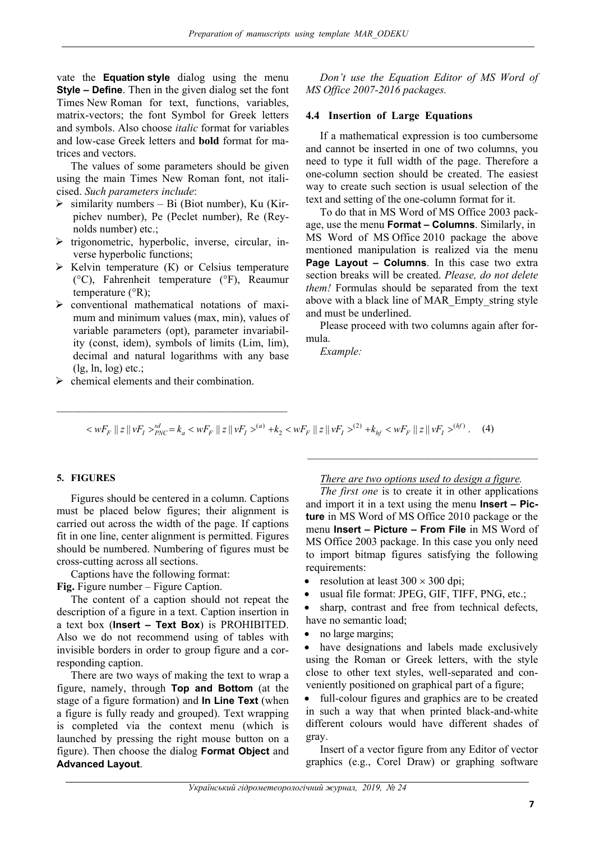vate the **Equation style** dialog using the menu **Style – Define**. Then in the given dialog set the font Times New Roman for text, functions, variables, matrix-vectors; the font Symbol for Greek letters and symbols. Also choose *italic* format for variables and low-case Greek letters and **bold** format for matrices and vectors.

The values of some parameters should be given using the main Times New Roman font, not italicised. *Such parameters include*:

- $\triangleright$  similarity numbers Bi (Biot number), Ku (Kirpichev number), Pe (Peclet number), Re (Reynolds number) etc.;
- $\triangleright$  trigonometric, hyperbolic, inverse, circular, inverse hyperbolic functions;
- $\triangleright$  Kelvin temperature (K) or Celsius temperature (°С), Fahrenheit temperature (°F), Reaumur temperature  $(^{\circ}R)$ ;
- $\triangleright$  conventional mathematical notations of maximum and minimum values (max, min), values of variable parameters (opt), parameter invariability (const, idem), symbols of limits (Lim, lim), decimal and natural logarithms with any base (lg, ln, log) etc.;

 $\mathcal{L}_\text{max}$  , where  $\mathcal{L}_\text{max}$  and  $\mathcal{L}_\text{max}$  and  $\mathcal{L}_\text{max}$ 

 $\triangleright$  chemical elements and their combination.

*Don't use the Equation Editor of MS Word of MS Office 2007-2016 packages.*

#### **4.4 Insertion of Large Equations**

If a mathematical expression is too cumbersome and cannot be inserted in one of two columns, you need to type it full width of the page. Therefore a one-column section should be created. The easiest way to create such section is usual selection of the text and setting of the one-column format for it.

To do that in MS Word of MS Office 2003 package, use the menu **Format – Columns**. Similarly, in MS Word of MS Office 2010 package the above mentioned manipulation is realized via the menu **Page Layout – Columns**. In this case two extra section breaks will be created. *Please, do not delete them!* Formulas should be separated from the text above with a black line of MAR\_Empty\_string style and must be underlined.

Please proceed with two columns again after formula.

*Example:*

 $\langle \langle \langle \langle \langle \langle \rangle \rangle \rangle \rangle \langle \langle \langle \rangle \rangle \rangle \langle \langle \rangle \rangle = k_a \langle \langle \langle \langle \langle \rangle \rangle \rangle \langle \langle \langle \rangle \rangle \langle \langle \rangle \rangle = k_z \langle \langle \langle \langle \rangle \rangle \langle \langle \rangle \langle \rangle \langle \langle \rangle \rangle \langle \langle \langle \rangle \rangle = k_z \langle \langle \langle \rangle \langle \langle \rangle \rangle \langle \langle \rangle \langle \langle \rangle \langle \rangle \langle \rangle = k_z \langle \langle \langle \rangle \langle \rangle \langle \langle \rangle \langle \langle \rangle \rangle \langle \langle \rangle \langle \langle \rangle \langle \rangle = k_z \langle \langle \langle \rangle \langle \rangle \$ 

Figures should be centered in a column. Captions must be placed below figures; their alignment is carried out across the width of the page. If captions fit in one line, center alignment is permitted. Figures should be numbered. Numbering of figures must be cross-cutting across all sections.

Captions have the following format:

Fig. Figure number – Figure Caption.<br>
The content of a caption should not repeat the sharp contrast and free from technical defection.<br>
The content of a caption should not repeat the sharp contrast and free from technical description of a figure in a text. Caption insertion in a text box (**Insert – Text Box**) is PROHIBITED. Also we do not recommend using of tables with invisible borders in order to group figure and a corresponding caption.

There are two ways of making the text to wrap a figure, namely, through **Top and Bottom** (at the stage of a figure formation) and **In Line Text** (when a figure is fully ready and grouped). Text wrapping is completed via the context menu (which is launched by pressing the right mouse button on a figure). Then choose the dialog **Format Object** and **Advanced Layout**.

#### **5. FIGURES** *There are two options used to design a figure.*

*The first one* is to create it in other applications and import it in a text using the menu **Insert – Picture** in MS Word of MS Office 2010 package or the menu **Insert – Picture – From File** in MS Word of MS Office 2003 package. In this case you only need to import bitmap figures satisfying the following requirements:

- 
- 
- sharp, contrast and free from technical defects, have no semantic load;
- no large margins;

• have designations and labels made exclusively using the Roman or Greek letters, with the style close to other text styles, well-separated and conveniently positioned on graphical part of a figure;

• full-colour figures and graphics are to be created in such a way that when printed black-and-white different colours would have different shades of gray.

Insert of a vector figure from any Editor of vector graphics (e.g., Corel Draw) or graphing software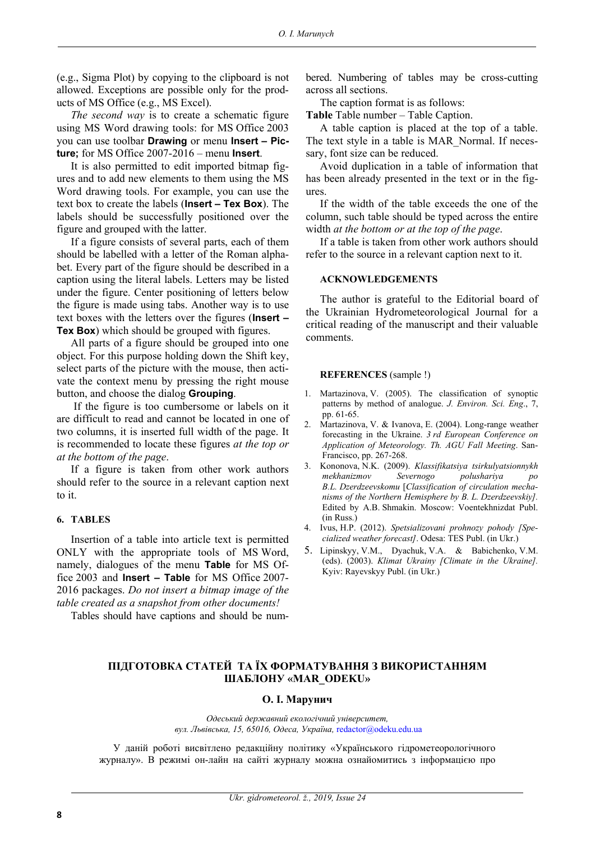(e.g., Sigma Plot) by copying to the clipboard is not allowed. Exceptions are possible only for the products of MS Office (e.g., MS Excel).

*The second way* is to create a schematic figure using MS Word drawing tools: for MS Office 2003 you can use toolbar **Drawing** or menu **Insert ‒ Picture;** for MS Office 2007-2016 ‒ menu **Insert**.

It is also permitted to edit imported bitmap figures and to add new elements to them using the MS Word drawing tools. For example, you can use the text box to create the labels (**Insert – Tex Box**). The labels should be successfully positioned over the figure and grouped with the latter.

If a figure consists of several parts, each of them should be labelled with a letter of the Roman alphabet. Every part of the figure should be described in a caption using the literal labels. Letters may be listed under the figure. Center positioning of letters below the figure is made using tabs. Another way is to use text boxes with the letters over the figures (**Insert – Tex Box**) which should be grouped with figures.

All parts of a figure should be grouped into one object. For this purpose holding down the Shift key, select parts of the picture with the mouse, then activate the context menu by pressing the right mouse button, and choose the dialog **Grouping**.

 If the figure is too cumbersome or labels on it are difficult to read and cannot be located in one of two columns, it is inserted full width of the page. It is recommended to locate these figures *at the top or at the bottom of the page*.

If a figure is taken from other work authors should refer to the source in a relevant caption next to it.

#### **6. TABLES**

Insertion of a table into article text is permitted ONLY with the appropriate tools of MS Word, namely, dialogues of the menu **Table** for MS Office 2003 and **Insert – Table** for MS Office 2007- 2016 packages. *Do not insert a bitmap image of the table created as a snapshot from other documents!*

Tables should have captions and should be num-

bered. Numbering of tables may be cross-cutting across all sections.

The caption format is as follows:

Table Table number – Table Caption.

A table caption is placed at the top of a table. The text style in a table is MAR\_Normal. If necessary, font size can be reduced.

Avoid duplication in a table of information that has been already presented in the text or in the figures.

If the width of the table exceeds the one of the column, such table should be typed across the entire width *at the bottom or at the top of the page*.

If a table is taken from other work authors should refer to the source in a relevant caption next to it.

#### **ACKNOWLEDGEMENTS**

The author is grateful to the Editorial board of the Ukrainian Hydrometeorological Journal for a critical reading of the manuscript and their valuable comments.

#### **REFERENCES** (sample !)

- 1. Martazinova, V. (2005). The classification of synoptic patterns by method of analogue. *J. Environ. Sci. Eng*., 7, pp. 61-65.
- 2. Martazinova, V. & Ivanova, E. (2004). Long-range weather forecasting in the Ukraine. *3 rd European Conference on Application of Meteorology. Th. AGU Fall Meeting*. San-Francisco, pp. 267-268.
- 3. Kononova, N.K. (2009). *Klassifikatsiya tsirkulyatsionnykh mekhanizmov Severnogo polushariya po B.L. Dzerdzeevskomu* [*Classification of circulation mechanisms of the Northern Hemisphere by B. L. Dzerdzeevskiy].* Edited by A.B. Shmakin. Moscow: Voentekhnizdat Publ. (in Russ.)
- 4. Ivus, H.P. (2012). *Spetsializovani prohnozy pohody [Specialized weather forecast]*. Odesa: TES Publ. (in Ukr.)
- 5. Lipinskyy, V.M., Dyachuk, V.A. & Babichenko, V.M. (eds). (2003). *Klimat Ukrainy [Climate in the Ukraine].* Kyiv: Rayevskyy Publ. (in Ukr.)

#### **ПІДГОТОВКА СТАТЕЙ ТА ЇХ ФОРМАТУВАННЯ З ВИКОРИСТАННЯМ ШАБЛОНУ «MAR\_ODEKU»**

#### **О. І. Марунич**

*Одеський державний екологічний університет, вул. Львівська, 15, 65016, Одеса, Україна,* redactor@odeku.edu.ua

У даній роботі висвітлено редакційну політику «Українського гідрометеорологічного журналу». В режимі он-лайн на сайті журналу можна ознайомитись з інформацією про